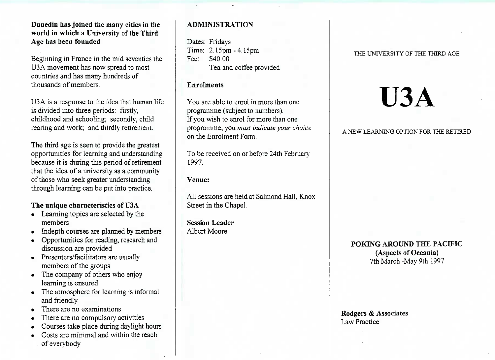#### **Dunedin has joined the many cities in the world in which a University of the ThirdAge has been founded**

Beginning in France in the mid seventies theU3A movement has now spread to mostcountries and has many hundreds ofthousands of members.

U3A is a response to the idea that human lifeis divided into three periods: firstly, childhood and schooling; secondly, childrearing and work; and thirdly retirement.

The third age is seen to provide the greatest opportunities for learning and understanding because it is during this period of retirement that the idea of a university as a communityof those who seek greater understandingthrough learning can be put into practice.

#### **The unique characteristics of U3A**

- Learning topics are selected by the members
- Indepth **courses** are planned by members
- Opportunities for reading, research anddiscussion are provided
- Presenters/facilitators are usually members of the groups
- The company of others who enjoylearning is ensured
- The atmosphere for learning is informaland friendly
- There are no examinations
- There are no compulsory activities
- Courses take place during daylight hours
- Costs are minimal and within the reachof everybody

#### **ADMINISTRATION**

Dates: Fridays Time: 2.15pm -4.15pmFee: \$40.00Tea and coffee provided

#### **Enrolments**

You are able to enrol in more than oneprogramme (subject to numbers). If you wish to enrol for more than one programme, you *must indicate your choice*on the Enrolment Form.

To be received on or before 24th February1997.

#### **Venue:**

All sessions are held at Salmond Hall, KnoxStreet in the Chapel.

**Session Leader**Albert Moore

#### THE UNIVERSITY OF THE THIRD AGE

# **U3A**

#### A NEW LEARNING OPTION FOR THE RETIRED

#### **POKING AROUND THE PACIFIC(Aspects of Oceania)**7th March-Mav 9th 1997

#### **Rodgers & Associates**Law Practice